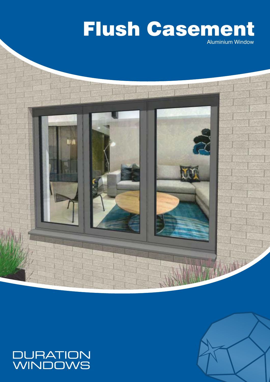# Aluminium Window Flush Casement





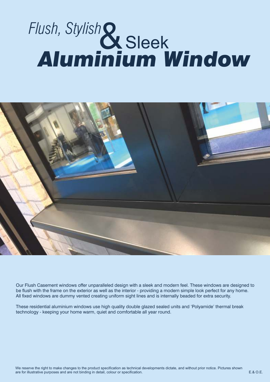# **Sleek** *Flush, Stylish* & *Aluminium Window*



Our Flush Casement windows offer unparalleled design with a sleek and modern feel. These windows are designed to be flush with the frame on the exterior as well as the interior - providing a modern simple look perfect for any home. All fixed windows are dummy vented creating uniform sight lines and is internally beaded for extra security.

These residential aluminium windows use high quality double glazed sealed units and 'Polyamide' thermal break technology - keeping your home warm, quiet and comfortable all year round.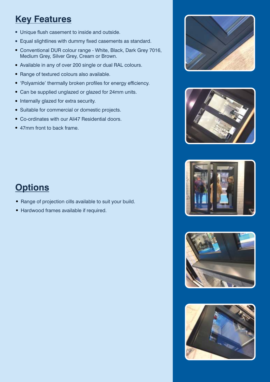# **Key Features**

- Unique flush casement to inside and outside.
- Equal slightlines with dummy fixed casements as standard.
- Conventional DUR colour range White, Black, Dark Grey 7016, Medium Grey, Silver Grey, Cream or Brown.
- Available in any of over 200 single or dual RAL colours.
- Range of textured colours also available.
- 'Polyamide' thermally broken profiles for energy efficiency.
- Can be supplied unglazed or glazed for 24mm units.
- Internally glazed for extra security.
- Suitable for commercial or domestic projects.
- Co-ordinates with our Ali47 Residential doors.
- 47mm front to back frame.



- Range of projection cills available to suit your build.
- Hardwood frames available if required.









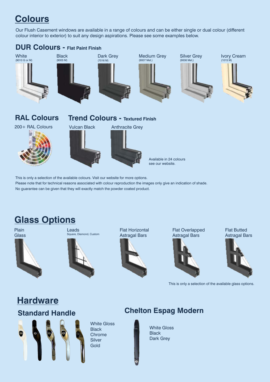# **Colours**

Our Flush Casement windows are available in a range of colours and can be either single or dual colour (different colour interior to exterior) to suit any design aspirations. Please see some examples below.



Please note that for technical reasons associated with colour reproduction the images only give an indication of shade. No guarantee can be given that they will exactly match the powder coated product.

# **Glass Options**

Plain **Glass** 





Flat Horizontal Astragal Bars



Flat Overlapped Astragal Bars



Flat Butted Astragal Bars



This is only a selection of the available glass options.

### **Hardware Standard Handle**

White Gloss **Black** Chrome **Silver Gold** 

## **Chelton Espag Modern**

White Gloss **Black** Dark Grey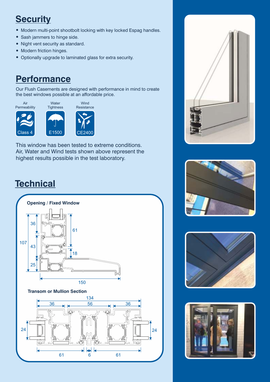# **Security**

- Modern multi-point shootbolt locking with key locked Espag handles.
- Sash jammers to hinge side.
- Night vent security as standard.
- Modern friction hinges.
- Optionally upgrade to laminated glass for extra security.

## **Performance**

Our Flush Casements are designed with performance in mind to create the best windows possible at an affordable price.



Air, Water and Wind tests shown above represent the highest results possible in the test laboratory. This window has been tested to extreme conditions.

# **Technical**